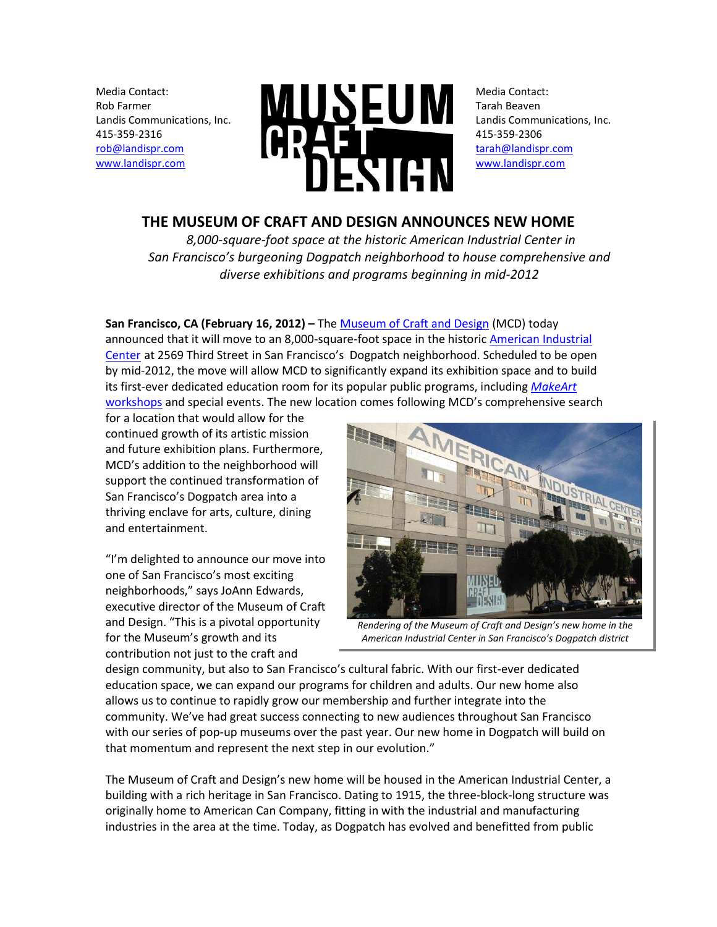Media Contact: Rob Farmer Landis Communications, Inc. 415-359-2316 [rob@landispr.com](mailto:rob@landispr.com) [www.landispr.com](http://www.landispr.com/)



Media Contact: Tarah Beaven Landis Communications, Inc. 415-359-2306 [tarah@landispr.com](mailto:jessica@landispr.com) [www.landispr.com](http://www.landispr.com/)

## **THE MUSEUM OF CRAFT AND DESIGN ANNOUNCES NEW HOME**

*8,000-square-foot space at the historic American Industrial Center in San Francisco's burgeoning Dogpatch neighborhood to house comprehensive and diverse exhibitions and programs beginning in mid-2012*

## **San Francisco, CA (February 16, 2012)** – The [Museum of Craft and Design](http://sfmcd.org/) (MCD) today

announced that it will move to an 8,000-square-foot space in the historic [American Industrial](http://aicproperties.com/about-us/)  [Center](http://aicproperties.com/about-us/) at 2569 Third Street in San Francisco's Dogpatch neighborhood. Scheduled to be open by mid-2012, the move will allow MCD to significantly expand its exhibition space and to build its first-ever dedicated education room for its popular public programs, including *[MakeArt](http://sfmcd.org/programs/families-kids/)* [workshops](http://sfmcd.org/programs/families-kids/) and special events. The new location comes following MCD's comprehensive search

for a location that would allow for the continued growth of its artistic mission and future exhibition plans. Furthermore, MCD's addition to the neighborhood will support the continued transformation of San Francisco's Dogpatch area into a thriving enclave for arts, culture, dining and entertainment.

"I'm delighted to announce our move into one of San Francisco's most exciting neighborhoods," says JoAnn Edwards, executive director of the Museum of Craft and Design. "This is a pivotal opportunity for the Museum's growth and its contribution not just to the craft and



*Rendering of the Museum of Craft and Design's new home in the American Industrial Center in San Francisco's Dogpatch district*

design community, but also to San Francisco's cultural fabric. With our first-ever dedicated education space, we can expand our programs for children and adults. Our new home also allows us to continue to rapidly grow our membership and further integrate into the community. We've had great success connecting to new audiences throughout San Francisco with our series of pop-up museums over the past year. Our new home in Dogpatch will build on that momentum and represent the next step in our evolution."

The Museum of Craft and Design's new home will be housed in the American Industrial Center, a building with a rich heritage in San Francisco. Dating to 1915, the three-block-long structure was originally home to American Can Company, fitting in with the industrial and manufacturing industries in the area at the time. Today, as Dogpatch has evolved and benefitted from public